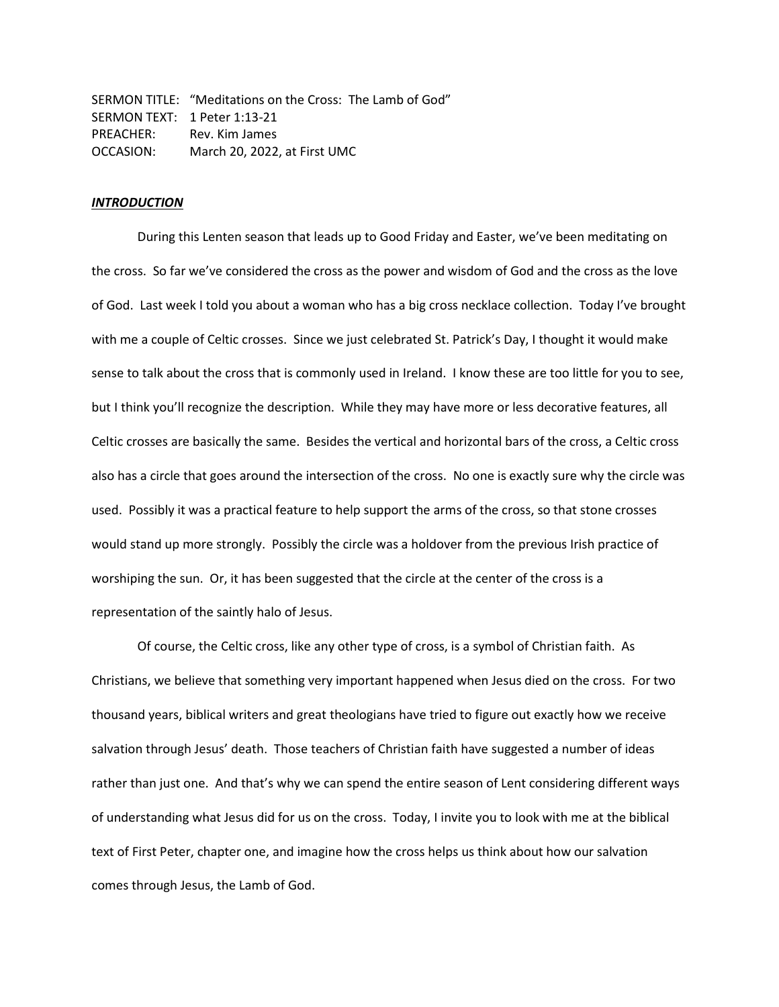SERMON TITLE: "Meditations on the Cross: The Lamb of God" SERMON TEXT: 1 Peter 1:13-21 PREACHER: Rev. Kim James OCCASION: March 20, 2022, at First UMC

# *INTRODUCTION*

During this Lenten season that leads up to Good Friday and Easter, we've been meditating on the cross. So far we've considered the cross as the power and wisdom of God and the cross as the love of God. Last week I told you about a woman who has a big cross necklace collection. Today I've brought with me a couple of Celtic crosses. Since we just celebrated St. Patrick's Day, I thought it would make sense to talk about the cross that is commonly used in Ireland. I know these are too little for you to see, but I think you'll recognize the description. While they may have more or less decorative features, all Celtic crosses are basically the same. Besides the vertical and horizontal bars of the cross, a Celtic cross also has a circle that goes around the intersection of the cross. No one is exactly sure why the circle was used. Possibly it was a practical feature to help support the arms of the cross, so that stone crosses would stand up more strongly. Possibly the circle was a holdover from the previous Irish practice of worshiping the sun. Or, it has been suggested that the circle at the center of the cross is a representation of the saintly halo of Jesus.

Of course, the Celtic cross, like any other type of cross, is a symbol of Christian faith. As Christians, we believe that something very important happened when Jesus died on the cross. For two thousand years, biblical writers and great theologians have tried to figure out exactly how we receive salvation through Jesus' death. Those teachers of Christian faith have suggested a number of ideas rather than just one. And that's why we can spend the entire season of Lent considering different ways of understanding what Jesus did for us on the cross. Today, I invite you to look with me at the biblical text of First Peter, chapter one, and imagine how the cross helps us think about how our salvation comes through Jesus, the Lamb of God.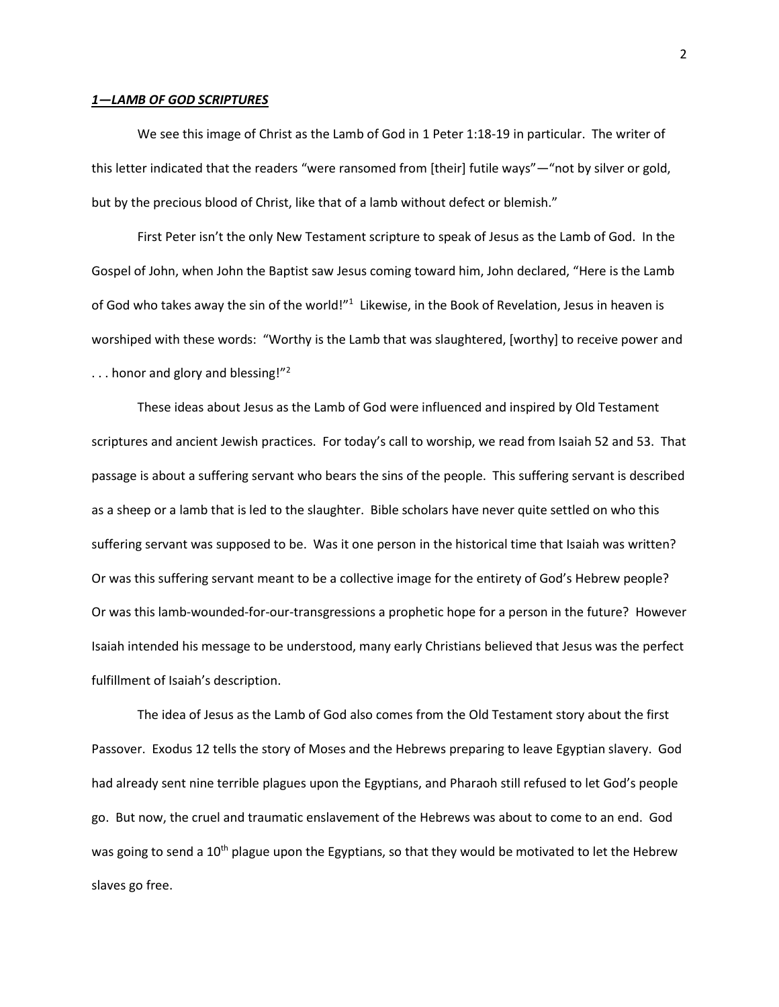## *1—LAMB OF GOD SCRIPTURES*

We see this image of Christ as the Lamb of God in 1 Peter 1:18-19 in particular. The writer of this letter indicated that the readers "were ransomed from [their] futile ways"—"not by silver or gold, but by the precious blood of Christ, like that of a lamb without defect or blemish."

First Peter isn't the only New Testament scripture to speak of Jesus as the Lamb of God. In the Gospel of John, when John the Baptist saw Jesus coming toward him, John declared, "Here is the Lamb of God who takes away the sin of the world!"<sup>1</sup> Likewise, in the Book of Revelation, Jesus in heaven is worshiped with these words: "Worthy is the Lamb that was slaughtered, [worthy] to receive power and ... honor and glory and blessing!"<sup>2</sup>

These ideas about Jesus as the Lamb of God were influenced and inspired by Old Testament scriptures and ancient Jewish practices. For today's call to worship, we read from Isaiah 52 and 53. That passage is about a suffering servant who bears the sins of the people. This suffering servant is described as a sheep or a lamb that is led to the slaughter. Bible scholars have never quite settled on who this suffering servant was supposed to be. Was it one person in the historical time that Isaiah was written? Or was this suffering servant meant to be a collective image for the entirety of God's Hebrew people? Or was this lamb-wounded-for-our-transgressions a prophetic hope for a person in the future? However Isaiah intended his message to be understood, many early Christians believed that Jesus was the perfect fulfillment of Isaiah's description.

The idea of Jesus as the Lamb of God also comes from the Old Testament story about the first Passover. Exodus 12 tells the story of Moses and the Hebrews preparing to leave Egyptian slavery. God had already sent nine terrible plagues upon the Egyptians, and Pharaoh still refused to let God's people go. But now, the cruel and traumatic enslavement of the Hebrews was about to come to an end. God was going to send a 10<sup>th</sup> plague upon the Egyptians, so that they would be motivated to let the Hebrew slaves go free.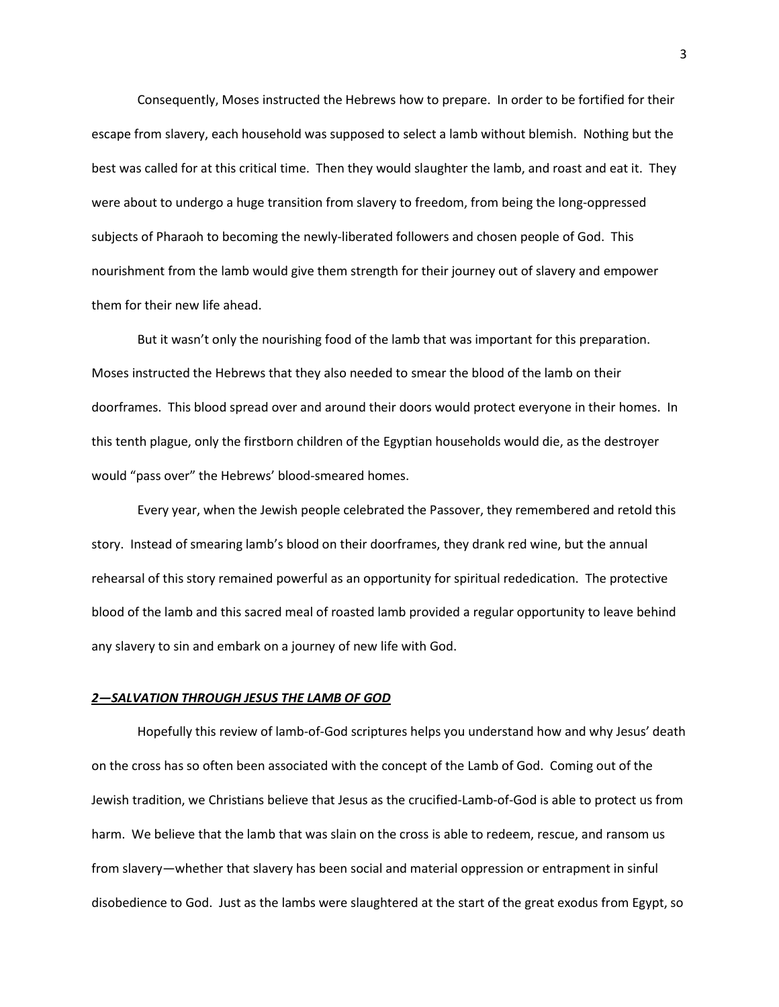Consequently, Moses instructed the Hebrews how to prepare. In order to be fortified for their escape from slavery, each household was supposed to select a lamb without blemish. Nothing but the best was called for at this critical time. Then they would slaughter the lamb, and roast and eat it. They were about to undergo a huge transition from slavery to freedom, from being the long-oppressed subjects of Pharaoh to becoming the newly-liberated followers and chosen people of God. This nourishment from the lamb would give them strength for their journey out of slavery and empower them for their new life ahead.

But it wasn't only the nourishing food of the lamb that was important for this preparation. Moses instructed the Hebrews that they also needed to smear the blood of the lamb on their doorframes. This blood spread over and around their doors would protect everyone in their homes. In this tenth plague, only the firstborn children of the Egyptian households would die, as the destroyer would "pass over" the Hebrews' blood-smeared homes.

Every year, when the Jewish people celebrated the Passover, they remembered and retold this story. Instead of smearing lamb's blood on their doorframes, they drank red wine, but the annual rehearsal of this story remained powerful as an opportunity for spiritual rededication. The protective blood of the lamb and this sacred meal of roasted lamb provided a regular opportunity to leave behind any slavery to sin and embark on a journey of new life with God.

#### *2—SALVATION THROUGH JESUS THE LAMB OF GOD*

Hopefully this review of lamb-of-God scriptures helps you understand how and why Jesus' death on the cross has so often been associated with the concept of the Lamb of God. Coming out of the Jewish tradition, we Christians believe that Jesus as the crucified-Lamb-of-God is able to protect us from harm. We believe that the lamb that was slain on the cross is able to redeem, rescue, and ransom us from slavery—whether that slavery has been social and material oppression or entrapment in sinful disobedience to God. Just as the lambs were slaughtered at the start of the great exodus from Egypt, so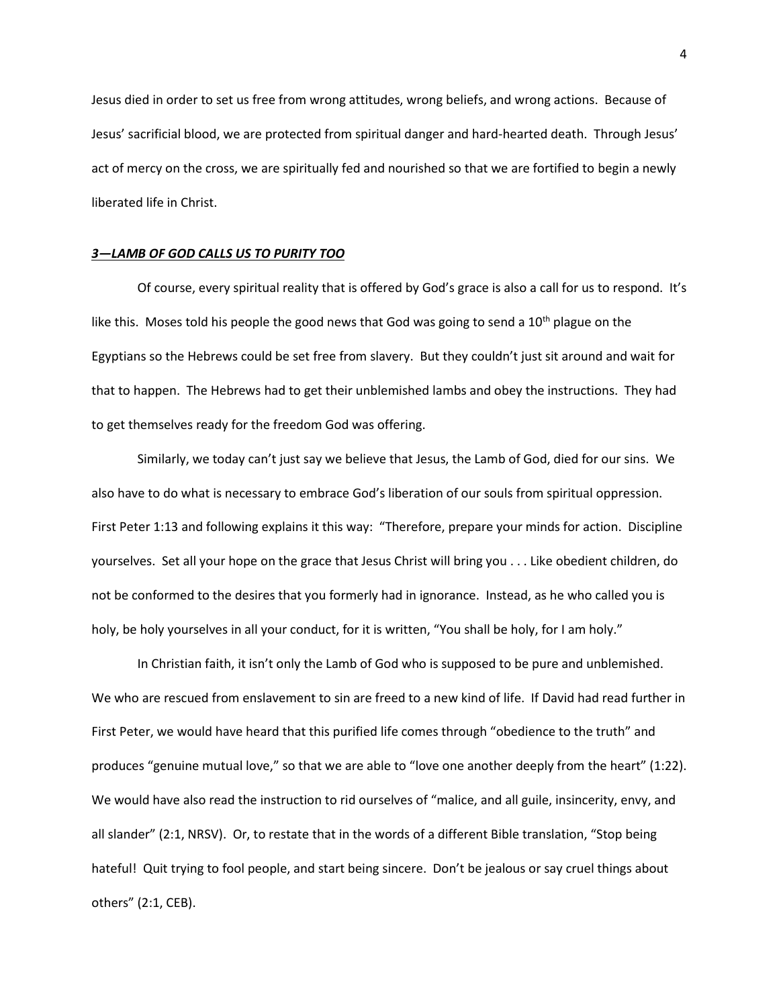Jesus died in order to set us free from wrong attitudes, wrong beliefs, and wrong actions. Because of Jesus' sacrificial blood, we are protected from spiritual danger and hard-hearted death. Through Jesus' act of mercy on the cross, we are spiritually fed and nourished so that we are fortified to begin a newly liberated life in Christ.

## *3—LAMB OF GOD CALLS US TO PURITY TOO*

Of course, every spiritual reality that is offered by God's grace is also a call for us to respond. It's like this. Moses told his people the good news that God was going to send a  $10<sup>th</sup>$  plague on the Egyptians so the Hebrews could be set free from slavery. But they couldn't just sit around and wait for that to happen. The Hebrews had to get their unblemished lambs and obey the instructions. They had to get themselves ready for the freedom God was offering.

Similarly, we today can't just say we believe that Jesus, the Lamb of God, died for our sins. We also have to do what is necessary to embrace God's liberation of our souls from spiritual oppression. First Peter 1:13 and following explains it this way: "Therefore, prepare your minds for action. Discipline yourselves. Set all your hope on the grace that Jesus Christ will bring you . . . Like obedient children, do not be conformed to the desires that you formerly had in ignorance. Instead, as he who called you is holy, be holy yourselves in all your conduct, for it is written, "You shall be holy, for I am holy."

In Christian faith, it isn't only the Lamb of God who is supposed to be pure and unblemished. We who are rescued from enslavement to sin are freed to a new kind of life. If David had read further in First Peter, we would have heard that this purified life comes through "obedience to the truth" and produces "genuine mutual love," so that we are able to "love one another deeply from the heart" (1:22). We would have also read the instruction to rid ourselves of "malice, and all guile, insincerity, envy, and all slander" (2:1, NRSV). Or, to restate that in the words of a different Bible translation, "Stop being hateful! Quit trying to fool people, and start being sincere. Don't be jealous or say cruel things about others" (2:1, CEB).